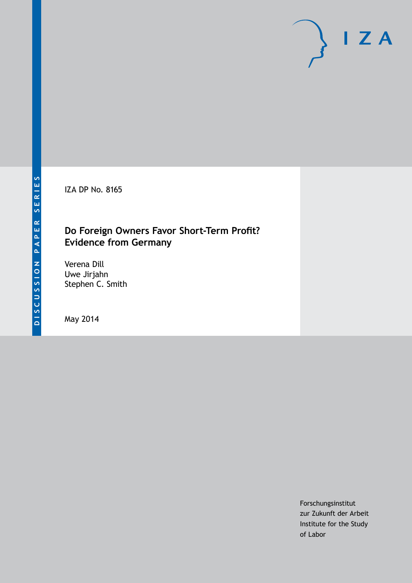IZA DP No. 8165

## **Do Foreign Owners Favor Short-Term Profit? Evidence from Germany**

Verena Dill Uwe Jirjahn Stephen C. Smith

May 2014

Forschungsinstitut zur Zukunft der Arbeit Institute for the Study of Labor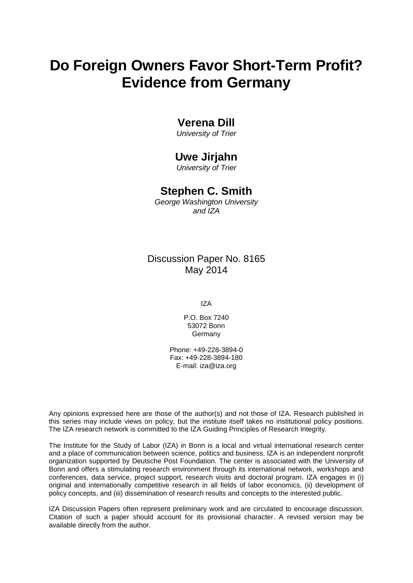# **Do Foreign Owners Favor Short-Term Profit? Evidence from Germany**

## **Verena Dill**

*University of Trier*

## **Uwe Jirjahn**

*University of Trier*

## **Stephen C. Smith**

*George Washington University and IZA*

Discussion Paper No. 8165 May 2014

IZA

P.O. Box 7240 53072 Bonn Germany

Phone: +49-228-3894-0 Fax: +49-228-3894-180 E-mail: [iza@iza.org](mailto:iza@iza.org)

Any opinions expressed here are those of the author(s) and not those of IZA. Research published in this series may include views on policy, but the institute itself takes no institutional policy positions. The IZA research network is committed to the IZA Guiding Principles of Research Integrity.

The Institute for the Study of Labor (IZA) in Bonn is a local and virtual international research center and a place of communication between science, politics and business. IZA is an independent nonprofit organization supported by Deutsche Post Foundation. The center is associated with the University of Bonn and offers a stimulating research environment through its international network, workshops and conferences, data service, project support, research visits and doctoral program. IZA engages in (i) original and internationally competitive research in all fields of labor economics, (ii) development of policy concepts, and (iii) dissemination of research results and concepts to the interested public.

<span id="page-1-0"></span>IZA Discussion Papers often represent preliminary work and are circulated to encourage discussion. Citation of such a paper should account for its provisional character. A revised version may be available directly from the author.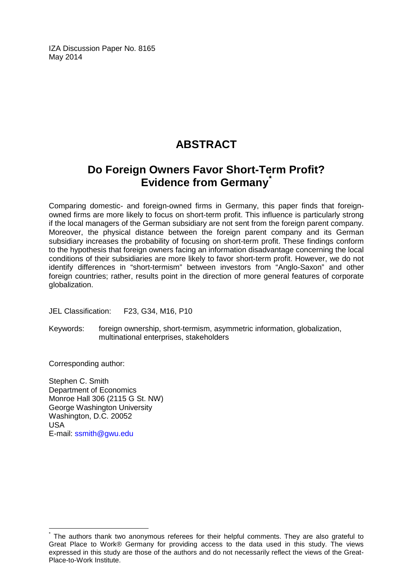IZA Discussion Paper No. 8165 May 2014

## **ABSTRACT**

## **Do Foreign Owners Favor Short-Term Profit? Evidence from Germany[\\*](#page-1-0)**

Comparing domestic- and foreign-owned firms in Germany, this paper finds that foreignowned firms are more likely to focus on short-term profit. This influence is particularly strong if the local managers of the German subsidiary are not sent from the foreign parent company. Moreover, the physical distance between the foreign parent company and its German subsidiary increases the probability of focusing on short-term profit. These findings conform to the hypothesis that foreign owners facing an information disadvantage concerning the local conditions of their subsidiaries are more likely to favor short-term profit. However, we do not identify differences in "short-termism" between investors from "Anglo-Saxon" and other foreign countries; rather, results point in the direction of more general features of corporate globalization.

JEL Classification: F23, G34, M16, P10

Keywords: foreign ownership, short-termism, asymmetric information, globalization, multinational enterprises, stakeholders

Corresponding author:

Stephen C. Smith Department of Economics Monroe Hall 306 (2115 G St. NW) George Washington University Washington, D.C. 20052 USA E-mail: [ssmith@gwu.edu](mailto:ssmith@gwu.edu)

The authors thank two anonymous referees for their helpful comments. They are also grateful to Great Place to Work® Germany for providing access to the data used in this study. The views expressed in this study are those of the authors and do not necessarily reflect the views of the Great-Place-to-Work Institute.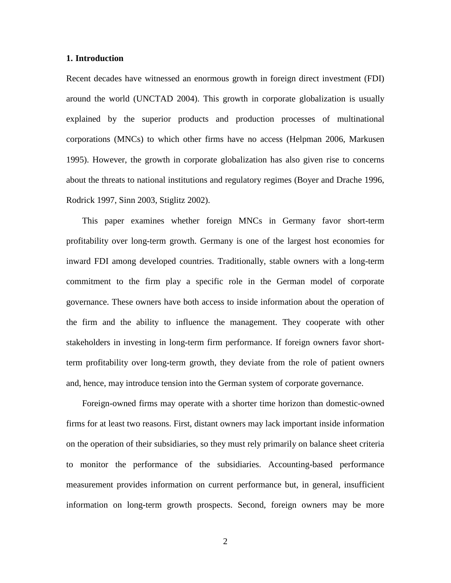## **1. Introduction**

Recent decades have witnessed an enormous growth in foreign direct investment (FDI) around the world (UNCTAD 2004). This growth in corporate globalization is usually explained by the superior products and production processes of multinational corporations (MNCs) to which other firms have no access (Helpman 2006, Markusen 1995). However, the growth in corporate globalization has also given rise to concerns about the threats to national institutions and regulatory regimes (Boyer and Drache 1996, Rodrick 1997, Sinn 2003, Stiglitz 2002).

This paper examines whether foreign MNCs in Germany favor short-term profitability over long-term growth. Germany is one of the largest host economies for inward FDI among developed countries. Traditionally, stable owners with a long-term commitment to the firm play a specific role in the German model of corporate governance. These owners have both access to inside information about the operation of the firm and the ability to influence the management. They cooperate with other stakeholders in investing in long-term firm performance. If foreign owners favor shortterm profitability over long-term growth, they deviate from the role of patient owners and, hence, may introduce tension into the German system of corporate governance.

Foreign-owned firms may operate with a shorter time horizon than domestic-owned firms for at least two reasons. First, distant owners may lack important inside information on the operation of their subsidiaries, so they must rely primarily on balance sheet criteria to monitor the performance of the subsidiaries. Accounting-based performance measurement provides information on current performance but, in general, insufficient information on long-term growth prospects. Second, foreign owners may be more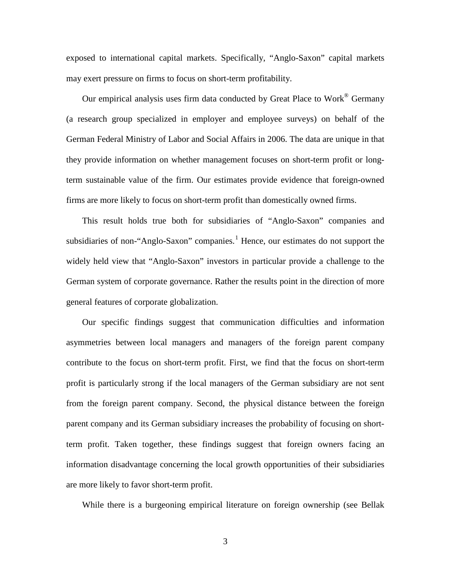exposed to international capital markets. Specifically, "Anglo-Saxon" capital markets may exert pressure on firms to focus on short-term profitability.

Our empirical analysis uses firm data conducted by Great Place to  $Work^{\circledR}$  Germany (a research group specialized in employer and employee surveys) on behalf of the German Federal Ministry of Labor and Social Affairs in 2006. The data are unique in that they provide information on whether management focuses on short-term profit or longterm sustainable value of the firm. Our estimates provide evidence that foreign-owned firms are more likely to focus on short-term profit than domestically owned firms.

This result holds true both for subsidiaries of "Anglo-Saxon" companies and subsidiaries of non-"Anglo-Saxon" companies.<sup>[1](#page-36-0)</sup> Hence, our estimates do not support the widely held view that "Anglo-Saxon" investors in particular provide a challenge to the German system of corporate governance. Rather the results point in the direction of more general features of corporate globalization.

Our specific findings suggest that communication difficulties and information asymmetries between local managers and managers of the foreign parent company contribute to the focus on short-term profit. First, we find that the focus on short-term profit is particularly strong if the local managers of the German subsidiary are not sent from the foreign parent company. Second, the physical distance between the foreign parent company and its German subsidiary increases the probability of focusing on shortterm profit. Taken together, these findings suggest that foreign owners facing an information disadvantage concerning the local growth opportunities of their subsidiaries are more likely to favor short-term profit.

While there is a burgeoning empirical literature on foreign ownership (see Bellak

3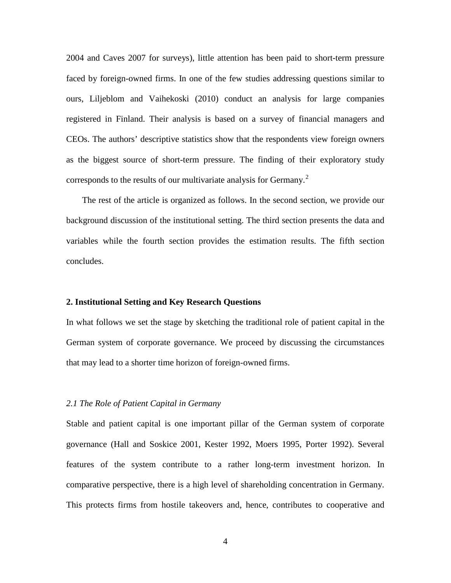2004 and Caves 2007 for surveys), little attention has been paid to short-term pressure faced by foreign-owned firms. In one of the few studies addressing questions similar to ours, Liljeblom and Vaihekoski (2010) conduct an analysis for large companies registered in Finland. Their analysis is based on a survey of financial managers and CEOs. The authors' descriptive statistics show that the respondents view foreign owners as the biggest source of short-term pressure. The finding of their exploratory study corresponds to the results of our multivariate analysis for Germany.<sup>[2](#page-36-1)</sup>

The rest of the article is organized as follows. In the second section, we provide our background discussion of the institutional setting. The third section presents the data and variables while the fourth section provides the estimation results. The fifth section concludes.

## **2. Institutional Setting and Key Research Questions**

In what follows we set the stage by sketching the traditional role of patient capital in the German system of corporate governance. We proceed by discussing the circumstances that may lead to a shorter time horizon of foreign-owned firms.

#### *2.1 The Role of Patient Capital in Germany*

Stable and patient capital is one important pillar of the German system of corporate governance (Hall and Soskice 2001, Kester 1992, Moers 1995, Porter 1992). Several features of the system contribute to a rather long-term investment horizon. In comparative perspective, there is a high level of shareholding concentration in Germany. This protects firms from hostile takeovers and, hence, contributes to cooperative and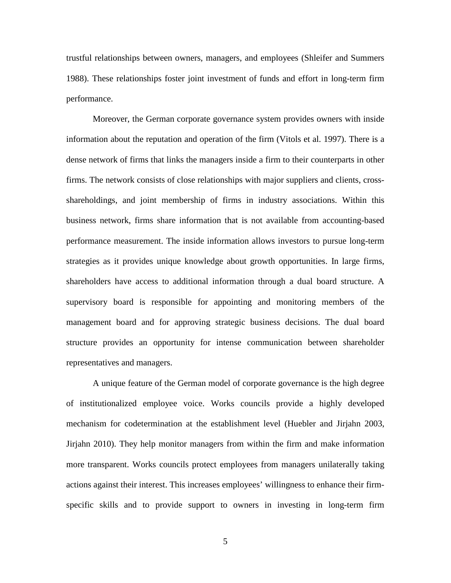trustful relationships between owners, managers, and employees (Shleifer and Summers 1988). These relationships foster joint investment of funds and effort in long-term firm performance.

Moreover, the German corporate governance system provides owners with inside information about the reputation and operation of the firm (Vitols et al. 1997). There is a dense network of firms that links the managers inside a firm to their counterparts in other firms. The network consists of close relationships with major suppliers and clients, crossshareholdings, and joint membership of firms in industry associations. Within this business network, firms share information that is not available from accounting-based performance measurement. The inside information allows investors to pursue long-term strategies as it provides unique knowledge about growth opportunities. In large firms, shareholders have access to additional information through a dual board structure. A supervisory board is responsible for appointing and monitoring members of the management board and for approving strategic business decisions. The dual board structure provides an opportunity for intense communication between shareholder representatives and managers.

A unique feature of the German model of corporate governance is the high degree of institutionalized employee voice. Works councils provide a highly developed mechanism for codetermination at the establishment level (Huebler and Jirjahn 2003, Jirjahn 2010). They help monitor managers from within the firm and make information more transparent. Works councils protect employees from managers unilaterally taking actions against their interest. This increases employees' willingness to enhance their firmspecific skills and to provide support to owners in investing in long-term firm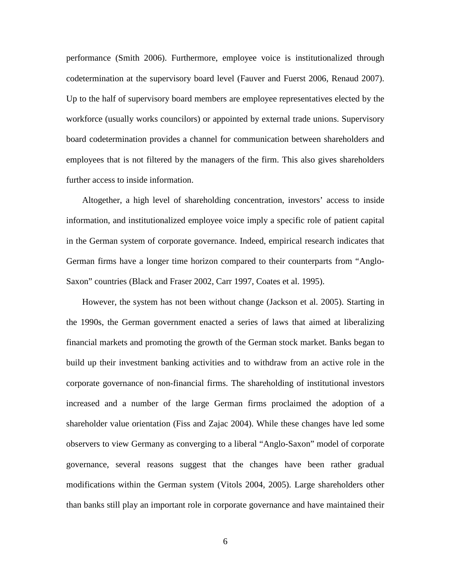performance (Smith 2006). Furthermore, employee voice is institutionalized through codetermination at the supervisory board level (Fauver and Fuerst 2006, Renaud 2007). Up to the half of supervisory board members are employee representatives elected by the workforce (usually works councilors) or appointed by external trade unions. Supervisory board codetermination provides a channel for communication between shareholders and employees that is not filtered by the managers of the firm. This also gives shareholders further access to inside information.

Altogether, a high level of shareholding concentration, investors' access to inside information, and institutionalized employee voice imply a specific role of patient capital in the German system of corporate governance. Indeed, empirical research indicates that German firms have a longer time horizon compared to their counterparts from "Anglo-Saxon" countries (Black and Fraser 2002, Carr 1997, Coates et al. 1995).

However, the system has not been without change (Jackson et al. 2005). Starting in the 1990s, the German government enacted a series of laws that aimed at liberalizing financial markets and promoting the growth of the German stock market. Banks began to build up their investment banking activities and to withdraw from an active role in the corporate governance of non-financial firms. The shareholding of institutional investors increased and a number of the large German firms proclaimed the adoption of a shareholder value orientation (Fiss and Zajac 2004). While these changes have led some observers to view Germany as converging to a liberal "Anglo-Saxon" model of corporate governance, several reasons suggest that the changes have been rather gradual modifications within the German system (Vitols 2004, 2005). Large shareholders other than banks still play an important role in corporate governance and have maintained their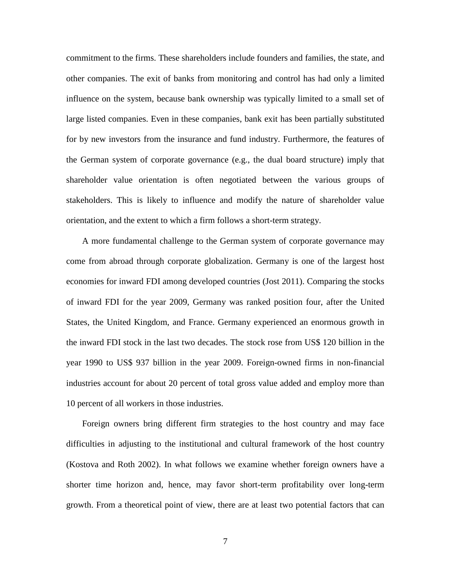commitment to the firms. These shareholders include founders and families, the state, and other companies. The exit of banks from monitoring and control has had only a limited influence on the system, because bank ownership was typically limited to a small set of large listed companies. Even in these companies, bank exit has been partially substituted for by new investors from the insurance and fund industry. Furthermore, the features of the German system of corporate governance (e.g., the dual board structure) imply that shareholder value orientation is often negotiated between the various groups of stakeholders. This is likely to influence and modify the nature of shareholder value orientation, and the extent to which a firm follows a short-term strategy.

A more fundamental challenge to the German system of corporate governance may come from abroad through corporate globalization. Germany is one of the largest host economies for inward FDI among developed countries (Jost 2011). Comparing the stocks of inward FDI for the year 2009, Germany was ranked position four, after the United States, the United Kingdom, and France. Germany experienced an enormous growth in the inward FDI stock in the last two decades. The stock rose from US\$ 120 billion in the year 1990 to US\$ 937 billion in the year 2009. Foreign-owned firms in non-financial industries account for about 20 percent of total gross value added and employ more than 10 percent of all workers in those industries.

Foreign owners bring different firm strategies to the host country and may face difficulties in adjusting to the institutional and cultural framework of the host country (Kostova and Roth 2002). In what follows we examine whether foreign owners have a shorter time horizon and, hence, may favor short-term profitability over long-term growth. From a theoretical point of view, there are at least two potential factors that can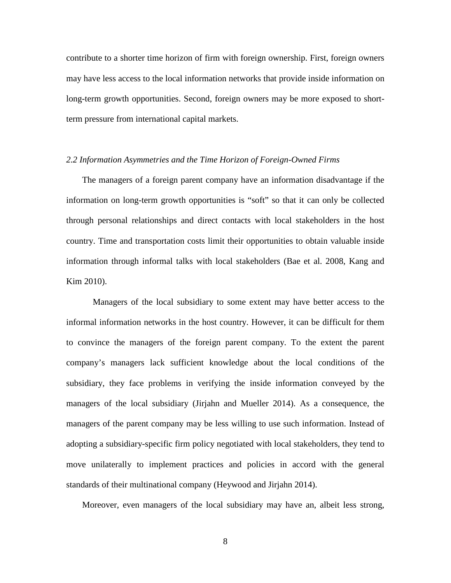contribute to a shorter time horizon of firm with foreign ownership. First, foreign owners may have less access to the local information networks that provide inside information on long-term growth opportunities. Second, foreign owners may be more exposed to shortterm pressure from international capital markets.

## *2.2 Information Asymmetries and the Time Horizon of Foreign-Owned Firms*

The managers of a foreign parent company have an information disadvantage if the information on long-term growth opportunities is "soft" so that it can only be collected through personal relationships and direct contacts with local stakeholders in the host country. Time and transportation costs limit their opportunities to obtain valuable inside information through informal talks with local stakeholders (Bae et al. 2008, Kang and Kim 2010).

Managers of the local subsidiary to some extent may have better access to the informal information networks in the host country. However, it can be difficult for them to convince the managers of the foreign parent company. To the extent the parent company's managers lack sufficient knowledge about the local conditions of the subsidiary, they face problems in verifying the inside information conveyed by the managers of the local subsidiary (Jirjahn and Mueller 2014). As a consequence, the managers of the parent company may be less willing to use such information. Instead of adopting a subsidiary-specific firm policy negotiated with local stakeholders, they tend to move unilaterally to implement practices and policies in accord with the general standards of their multinational company (Heywood and Jirjahn 2014).

Moreover, even managers of the local subsidiary may have an, albeit less strong,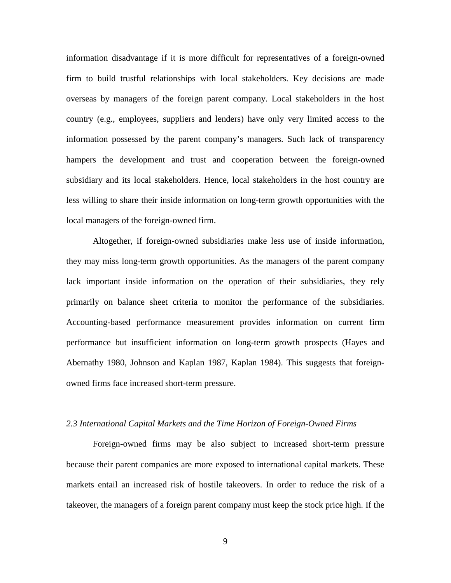information disadvantage if it is more difficult for representatives of a foreign-owned firm to build trustful relationships with local stakeholders. Key decisions are made overseas by managers of the foreign parent company. Local stakeholders in the host country (e.g., employees, suppliers and lenders) have only very limited access to the information possessed by the parent company's managers. Such lack of transparency hampers the development and trust and cooperation between the foreign-owned subsidiary and its local stakeholders. Hence, local stakeholders in the host country are less willing to share their inside information on long-term growth opportunities with the local managers of the foreign-owned firm.

Altogether, if foreign-owned subsidiaries make less use of inside information, they may miss long-term growth opportunities. As the managers of the parent company lack important inside information on the operation of their subsidiaries, they rely primarily on balance sheet criteria to monitor the performance of the subsidiaries. Accounting-based performance measurement provides information on current firm performance but insufficient information on long-term growth prospects (Hayes and Abernathy 1980, Johnson and Kaplan 1987, Kaplan 1984). This suggests that foreignowned firms face increased short-term pressure.

## *2.3 International Capital Markets and the Time Horizon of Foreign-Owned Firms*

Foreign-owned firms may be also subject to increased short-term pressure because their parent companies are more exposed to international capital markets. These markets entail an increased risk of hostile takeovers. In order to reduce the risk of a takeover, the managers of a foreign parent company must keep the stock price high. If the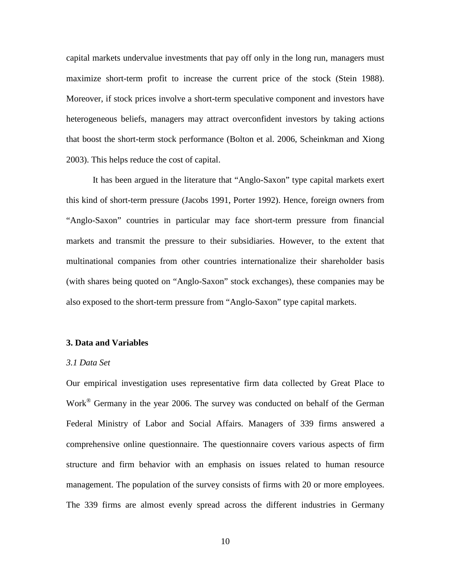capital markets undervalue investments that pay off only in the long run, managers must maximize short-term profit to increase the current price of the stock (Stein 1988). Moreover, if stock prices involve a short-term speculative component and investors have heterogeneous beliefs, managers may attract overconfident investors by taking actions that boost the short-term stock performance (Bolton et al. 2006, Scheinkman and Xiong 2003). This helps reduce the cost of capital.

It has been argued in the literature that "Anglo-Saxon" type capital markets exert this kind of short-term pressure (Jacobs 1991, Porter 1992). Hence, foreign owners from "Anglo-Saxon" countries in particular may face short-term pressure from financial markets and transmit the pressure to their subsidiaries. However, to the extent that multinational companies from other countries internationalize their shareholder basis (with shares being quoted on "Anglo-Saxon" stock exchanges), these companies may be also exposed to the short-term pressure from "Anglo-Saxon" type capital markets.

## **3. Data and Variables**

## *3.1 Data Set*

Our empirical investigation uses representative firm data collected by Great Place to Work® Germany in the year 2006. The survey was conducted on behalf of the German Federal Ministry of Labor and Social Affairs. Managers of 339 firms answered a comprehensive online questionnaire. The questionnaire covers various aspects of firm structure and firm behavior with an emphasis on issues related to human resource management. The population of the survey consists of firms with 20 or more employees. The 339 firms are almost evenly spread across the different industries in Germany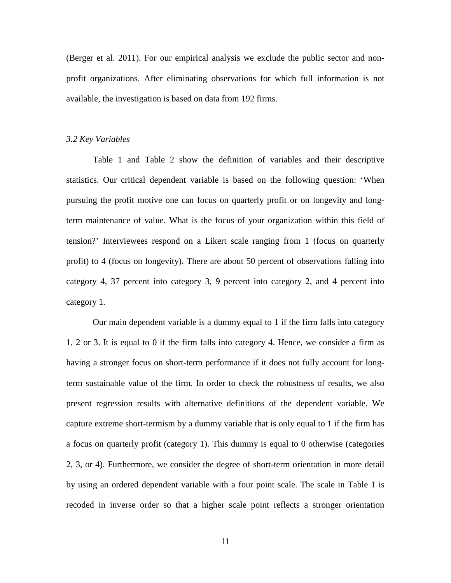(Berger et al. 2011). For our empirical analysis we exclude the public sector and nonprofit organizations. After eliminating observations for which full information is not available, the investigation is based on data from 192 firms.

#### *3.2 Key Variables*

Table 1 and Table 2 show the definition of variables and their descriptive statistics. Our critical dependent variable is based on the following question: 'When pursuing the profit motive one can focus on quarterly profit or on longevity and longterm maintenance of value. What is the focus of your organization within this field of tension?' Interviewees respond on a Likert scale ranging from 1 (focus on quarterly profit) to 4 (focus on longevity). There are about 50 percent of observations falling into category 4, 37 percent into category 3, 9 percent into category 2, and 4 percent into category 1.

Our main dependent variable is a dummy equal to 1 if the firm falls into category 1, 2 or 3. It is equal to 0 if the firm falls into category 4. Hence, we consider a firm as having a stronger focus on short-term performance if it does not fully account for longterm sustainable value of the firm. In order to check the robustness of results, we also present regression results with alternative definitions of the dependent variable. We capture extreme short-termism by a dummy variable that is only equal to 1 if the firm has a focus on quarterly profit (category 1). This dummy is equal to 0 otherwise (categories 2, 3, or 4). Furthermore, we consider the degree of short-term orientation in more detail by using an ordered dependent variable with a four point scale. The scale in Table 1 is recoded in inverse order so that a higher scale point reflects a stronger orientation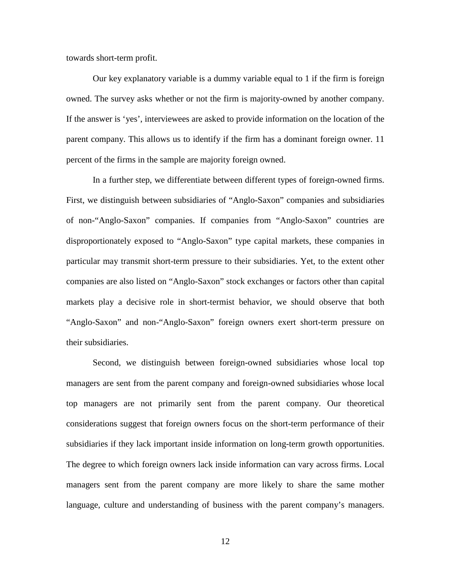towards short-term profit.

Our key explanatory variable is a dummy variable equal to 1 if the firm is foreign owned. The survey asks whether or not the firm is majority-owned by another company. If the answer is 'yes', interviewees are asked to provide information on the location of the parent company. This allows us to identify if the firm has a dominant foreign owner. 11 percent of the firms in the sample are majority foreign owned.

In a further step, we differentiate between different types of foreign-owned firms. First, we distinguish between subsidiaries of "Anglo-Saxon" companies and subsidiaries of non-"Anglo-Saxon" companies. If companies from "Anglo-Saxon" countries are disproportionately exposed to "Anglo-Saxon" type capital markets, these companies in particular may transmit short-term pressure to their subsidiaries. Yet, to the extent other companies are also listed on "Anglo-Saxon" stock exchanges or factors other than capital markets play a decisive role in short-termist behavior, we should observe that both "Anglo-Saxon" and non-"Anglo-Saxon" foreign owners exert short-term pressure on their subsidiaries.

Second, we distinguish between foreign-owned subsidiaries whose local top managers are sent from the parent company and foreign-owned subsidiaries whose local top managers are not primarily sent from the parent company. Our theoretical considerations suggest that foreign owners focus on the short-term performance of their subsidiaries if they lack important inside information on long-term growth opportunities. The degree to which foreign owners lack inside information can vary across firms. Local managers sent from the parent company are more likely to share the same mother language, culture and understanding of business with the parent company's managers.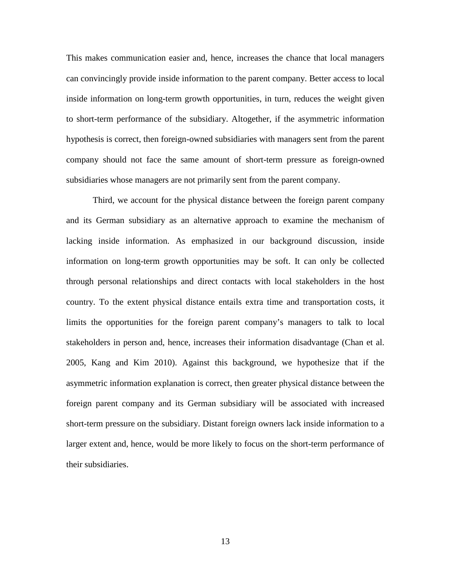This makes communication easier and, hence, increases the chance that local managers can convincingly provide inside information to the parent company. Better access to local inside information on long-term growth opportunities, in turn, reduces the weight given to short-term performance of the subsidiary. Altogether, if the asymmetric information hypothesis is correct, then foreign-owned subsidiaries with managers sent from the parent company should not face the same amount of short-term pressure as foreign-owned subsidiaries whose managers are not primarily sent from the parent company.

Third, we account for the physical distance between the foreign parent company and its German subsidiary as an alternative approach to examine the mechanism of lacking inside information. As emphasized in our background discussion, inside information on long-term growth opportunities may be soft. It can only be collected through personal relationships and direct contacts with local stakeholders in the host country. To the extent physical distance entails extra time and transportation costs, it limits the opportunities for the foreign parent company's managers to talk to local stakeholders in person and, hence, increases their information disadvantage (Chan et al. 2005, Kang and Kim 2010). Against this background, we hypothesize that if the asymmetric information explanation is correct, then greater physical distance between the foreign parent company and its German subsidiary will be associated with increased short-term pressure on the subsidiary. Distant foreign owners lack inside information to a larger extent and, hence, would be more likely to focus on the short-term performance of their subsidiaries.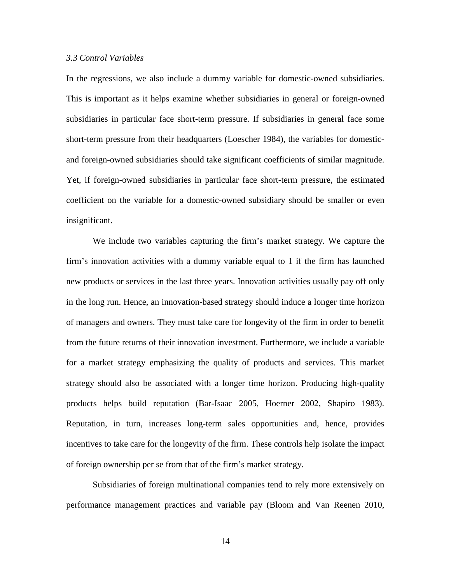### *3.3 Control Variables*

In the regressions, we also include a dummy variable for domestic-owned subsidiaries. This is important as it helps examine whether subsidiaries in general or foreign-owned subsidiaries in particular face short-term pressure. If subsidiaries in general face some short-term pressure from their headquarters (Loescher 1984), the variables for domesticand foreign-owned subsidiaries should take significant coefficients of similar magnitude. Yet, if foreign-owned subsidiaries in particular face short-term pressure, the estimated coefficient on the variable for a domestic-owned subsidiary should be smaller or even insignificant.

We include two variables capturing the firm's market strategy. We capture the firm's innovation activities with a dummy variable equal to 1 if the firm has launched new products or services in the last three years. Innovation activities usually pay off only in the long run. Hence, an innovation-based strategy should induce a longer time horizon of managers and owners. They must take care for longevity of the firm in order to benefit from the future returns of their innovation investment. Furthermore, we include a variable for a market strategy emphasizing the quality of products and services. This market strategy should also be associated with a longer time horizon. Producing high-quality products helps build reputation (Bar-Isaac 2005, Hoerner 2002, Shapiro 1983). Reputation, in turn, increases long-term sales opportunities and, hence, provides incentives to take care for the longevity of the firm. These controls help isolate the impact of foreign ownership per se from that of the firm's market strategy.

Subsidiaries of foreign multinational companies tend to rely more extensively on performance management practices and variable pay (Bloom and Van Reenen 2010,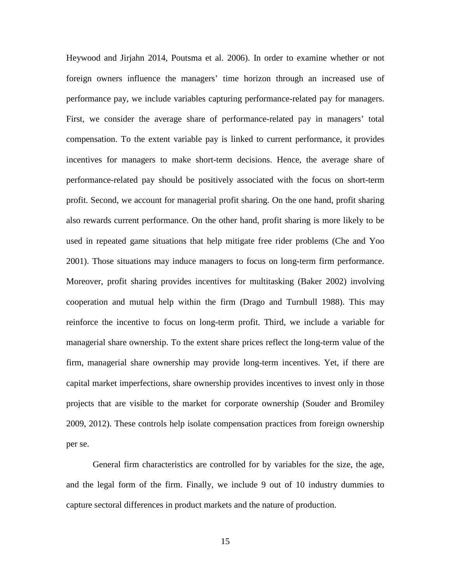Heywood and Jirjahn 2014, Poutsma et al. 2006). In order to examine whether or not foreign owners influence the managers' time horizon through an increased use of performance pay, we include variables capturing performance-related pay for managers. First, we consider the average share of performance-related pay in managers' total compensation. To the extent variable pay is linked to current performance, it provides incentives for managers to make short-term decisions. Hence, the average share of performance-related pay should be positively associated with the focus on short-term profit. Second, we account for managerial profit sharing. On the one hand, profit sharing also rewards current performance. On the other hand, profit sharing is more likely to be used in repeated game situations that help mitigate free rider problems (Che and Yoo 2001). Those situations may induce managers to focus on long-term firm performance. Moreover, profit sharing provides incentives for multitasking (Baker 2002) involving cooperation and mutual help within the firm (Drago and Turnbull 1988). This may reinforce the incentive to focus on long-term profit. Third, we include a variable for managerial share ownership. To the extent share prices reflect the long-term value of the firm, managerial share ownership may provide long-term incentives. Yet, if there are capital market imperfections, share ownership provides incentives to invest only in those projects that are visible to the market for corporate ownership (Souder and Bromiley 2009, 2012). These controls help isolate compensation practices from foreign ownership per se.

General firm characteristics are controlled for by variables for the size, the age, and the legal form of the firm. Finally, we include 9 out of 10 industry dummies to capture sectoral differences in product markets and the nature of production.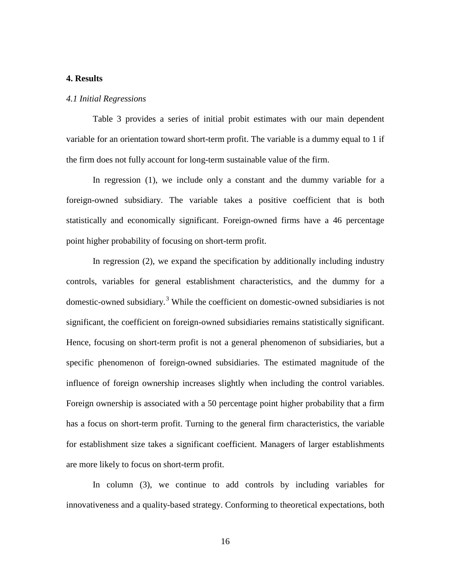## **4. Results**

#### *4.1 Initial Regressions*

Table 3 provides a series of initial probit estimates with our main dependent variable for an orientation toward short-term profit. The variable is a dummy equal to 1 if the firm does not fully account for long-term sustainable value of the firm.

In regression (1), we include only a constant and the dummy variable for a foreign-owned subsidiary. The variable takes a positive coefficient that is both statistically and economically significant. Foreign-owned firms have a 46 percentage point higher probability of focusing on short-term profit.

In regression (2), we expand the specification by additionally including industry controls, variables for general establishment characteristics, and the dummy for a domestic-owned subsidiary. [3](#page-36-2) While the coefficient on domestic-owned subsidiaries is not significant, the coefficient on foreign-owned subsidiaries remains statistically significant. Hence, focusing on short-term profit is not a general phenomenon of subsidiaries, but a specific phenomenon of foreign-owned subsidiaries. The estimated magnitude of the influence of foreign ownership increases slightly when including the control variables. Foreign ownership is associated with a 50 percentage point higher probability that a firm has a focus on short-term profit. Turning to the general firm characteristics, the variable for establishment size takes a significant coefficient. Managers of larger establishments are more likely to focus on short-term profit.

In column (3), we continue to add controls by including variables for innovativeness and a quality-based strategy. Conforming to theoretical expectations, both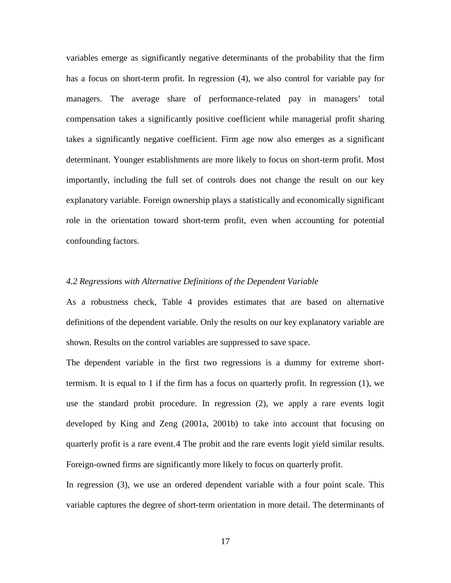variables emerge as significantly negative determinants of the probability that the firm has a focus on short-term profit. In regression (4), we also control for variable pay for managers. The average share of performance-related pay in managers' total compensation takes a significantly positive coefficient while managerial profit sharing takes a significantly negative coefficient. Firm age now also emerges as a significant determinant. Younger establishments are more likely to focus on short-term profit. Most importantly, including the full set of controls does not change the result on our key explanatory variable. Foreign ownership plays a statistically and economically significant role in the orientation toward short-term profit, even when accounting for potential confounding factors.

#### *4.2 Regressions with Alternative Definitions of the Dependent Variable*

As a robustness check, Table 4 provides estimates that are based on alternative definitions of the dependent variable. Only the results on our key explanatory variable are shown. Results on the control variables are suppressed to save space.

The dependent variable in the first two regressions is a dummy for extreme shorttermism. It is equal to 1 if the firm has a focus on quarterly profit. In regression (1), we use the standard probit procedure. In regression (2), we apply a rare events logit developed by King and Zeng (2001a, 2001b) to take into account that focusing on quarterly profit is a rare event.[4](#page-36-3) The probit and the rare events logit yield similar results. Foreign-owned firms are significantly more likely to focus on quarterly profit.

In regression (3), we use an ordered dependent variable with a four point scale. This variable captures the degree of short-term orientation in more detail. The determinants of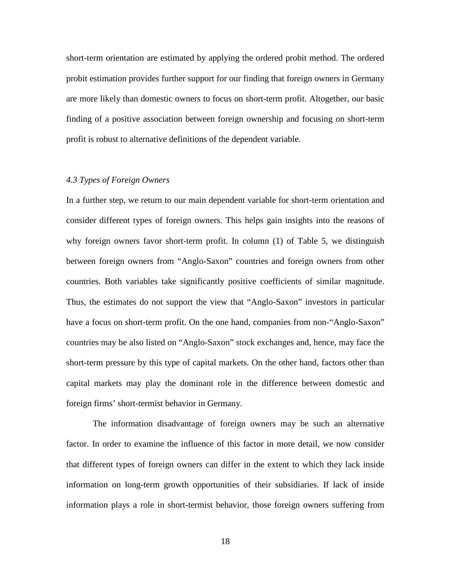short-term orientation are estimated by applying the ordered probit method. The ordered probit estimation provides further support for our finding that foreign owners in Germany are more likely than domestic owners to focus on short-term profit. Altogether, our basic finding of a positive association between foreign ownership and focusing on short-term profit is robust to alternative definitions of the dependent variable.

## *4.3 Types of Foreign Owners*

In a further step, we return to our main dependent variable for short-term orientation and consider different types of foreign owners. This helps gain insights into the reasons of why foreign owners favor short-term profit. In column (1) of Table 5, we distinguish between foreign owners from "Anglo-Saxon" countries and foreign owners from other countries. Both variables take significantly positive coefficients of similar magnitude. Thus, the estimates do not support the view that "Anglo-Saxon" investors in particular have a focus on short-term profit. On the one hand, companies from non-"Anglo-Saxon" countries may be also listed on "Anglo-Saxon" stock exchanges and, hence, may face the short-term pressure by this type of capital markets. On the other hand, factors other than capital markets may play the dominant role in the difference between domestic and foreign firms' short-termist behavior in Germany.

The information disadvantage of foreign owners may be such an alternative factor. In order to examine the influence of this factor in more detail, we now consider that different types of foreign owners can differ in the extent to which they lack inside information on long-term growth opportunities of their subsidiaries. If lack of inside information plays a role in short-termist behavior, those foreign owners suffering from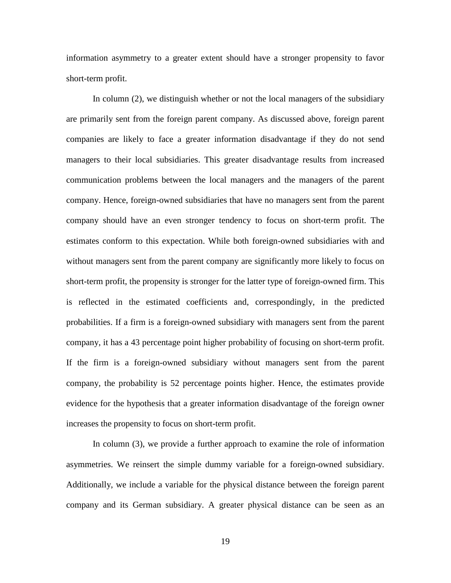information asymmetry to a greater extent should have a stronger propensity to favor short-term profit.

In column (2), we distinguish whether or not the local managers of the subsidiary are primarily sent from the foreign parent company. As discussed above, foreign parent companies are likely to face a greater information disadvantage if they do not send managers to their local subsidiaries. This greater disadvantage results from increased communication problems between the local managers and the managers of the parent company. Hence, foreign-owned subsidiaries that have no managers sent from the parent company should have an even stronger tendency to focus on short-term profit. The estimates conform to this expectation. While both foreign-owned subsidiaries with and without managers sent from the parent company are significantly more likely to focus on short-term profit, the propensity is stronger for the latter type of foreign-owned firm. This is reflected in the estimated coefficients and, correspondingly, in the predicted probabilities. If a firm is a foreign-owned subsidiary with managers sent from the parent company, it has a 43 percentage point higher probability of focusing on short-term profit. If the firm is a foreign-owned subsidiary without managers sent from the parent company, the probability is 52 percentage points higher. Hence, the estimates provide evidence for the hypothesis that a greater information disadvantage of the foreign owner increases the propensity to focus on short-term profit.

In column (3), we provide a further approach to examine the role of information asymmetries. We reinsert the simple dummy variable for a foreign-owned subsidiary. Additionally, we include a variable for the physical distance between the foreign parent company and its German subsidiary. A greater physical distance can be seen as an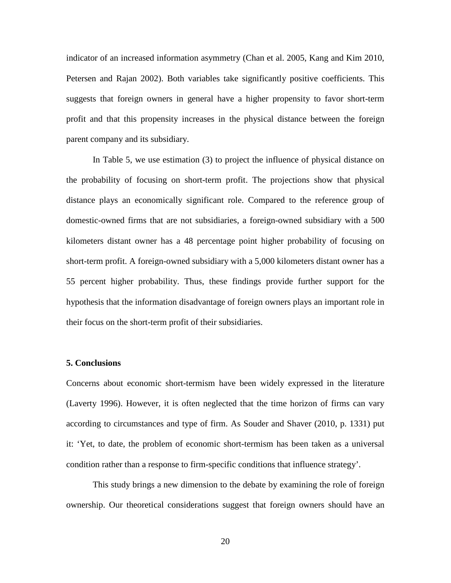indicator of an increased information asymmetry (Chan et al. 2005, Kang and Kim 2010, Petersen and Rajan 2002). Both variables take significantly positive coefficients. This suggests that foreign owners in general have a higher propensity to favor short-term profit and that this propensity increases in the physical distance between the foreign parent company and its subsidiary.

In Table 5, we use estimation (3) to project the influence of physical distance on the probability of focusing on short-term profit. The projections show that physical distance plays an economically significant role. Compared to the reference group of domestic-owned firms that are not subsidiaries, a foreign-owned subsidiary with a 500 kilometers distant owner has a 48 percentage point higher probability of focusing on short-term profit. A foreign-owned subsidiary with a 5,000 kilometers distant owner has a 55 percent higher probability. Thus, these findings provide further support for the hypothesis that the information disadvantage of foreign owners plays an important role in their focus on the short-term profit of their subsidiaries.

## **5. Conclusions**

Concerns about economic short-termism have been widely expressed in the literature (Laverty 1996). However, it is often neglected that the time horizon of firms can vary according to circumstances and type of firm. As Souder and Shaver (2010, p. 1331) put it: 'Yet, to date, the problem of economic short-termism has been taken as a universal condition rather than a response to firm-specific conditions that influence strategy'.

This study brings a new dimension to the debate by examining the role of foreign ownership. Our theoretical considerations suggest that foreign owners should have an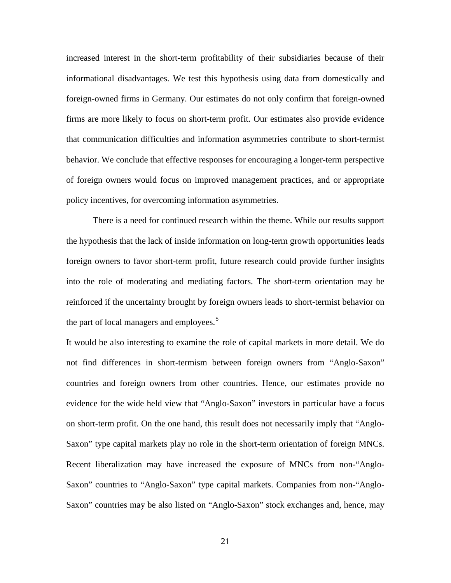increased interest in the short-term profitability of their subsidiaries because of their informational disadvantages. We test this hypothesis using data from domestically and foreign-owned firms in Germany. Our estimates do not only confirm that foreign-owned firms are more likely to focus on short-term profit. Our estimates also provide evidence that communication difficulties and information asymmetries contribute to short-termist behavior. We conclude that effective responses for encouraging a longer-term perspective of foreign owners would focus on improved management practices, and or appropriate policy incentives, for overcoming information asymmetries.

There is a need for continued research within the theme. While our results support the hypothesis that the lack of inside information on long-term growth opportunities leads foreign owners to favor short-term profit, future research could provide further insights into the role of moderating and mediating factors. The short-term orientation may be reinforced if the uncertainty brought by foreign owners leads to short-termist behavior on the part of local managers and employees.<sup>[5](#page-36-4)</sup>

It would be also interesting to examine the role of capital markets in more detail. We do not find differences in short-termism between foreign owners from "Anglo-Saxon" countries and foreign owners from other countries. Hence, our estimates provide no evidence for the wide held view that "Anglo-Saxon" investors in particular have a focus on short-term profit. On the one hand, this result does not necessarily imply that "Anglo-Saxon" type capital markets play no role in the short-term orientation of foreign MNCs. Recent liberalization may have increased the exposure of MNCs from non-"Anglo-Saxon" countries to "Anglo-Saxon" type capital markets. Companies from non-"Anglo-Saxon" countries may be also listed on "Anglo-Saxon" stock exchanges and, hence, may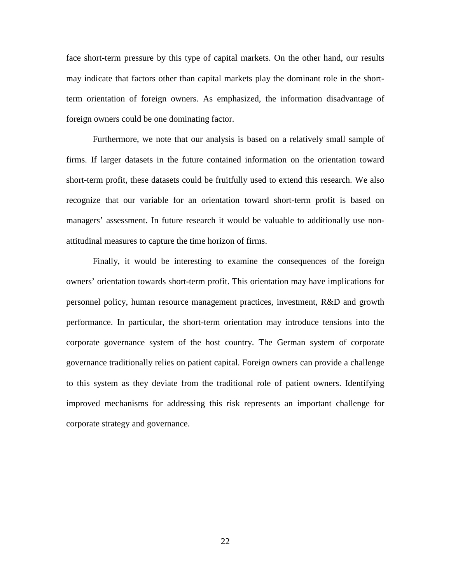face short-term pressure by this type of capital markets. On the other hand, our results may indicate that factors other than capital markets play the dominant role in the shortterm orientation of foreign owners. As emphasized, the information disadvantage of foreign owners could be one dominating factor.

Furthermore, we note that our analysis is based on a relatively small sample of firms. If larger datasets in the future contained information on the orientation toward short-term profit, these datasets could be fruitfully used to extend this research. We also recognize that our variable for an orientation toward short-term profit is based on managers' assessment. In future research it would be valuable to additionally use nonattitudinal measures to capture the time horizon of firms.

Finally, it would be interesting to examine the consequences of the foreign owners' orientation towards short-term profit. This orientation may have implications for personnel policy, human resource management practices, investment, R&D and growth performance. In particular, the short-term orientation may introduce tensions into the corporate governance system of the host country. The German system of corporate governance traditionally relies on patient capital. Foreign owners can provide a challenge to this system as they deviate from the traditional role of patient owners. Identifying improved mechanisms for addressing this risk represents an important challenge for corporate strategy and governance.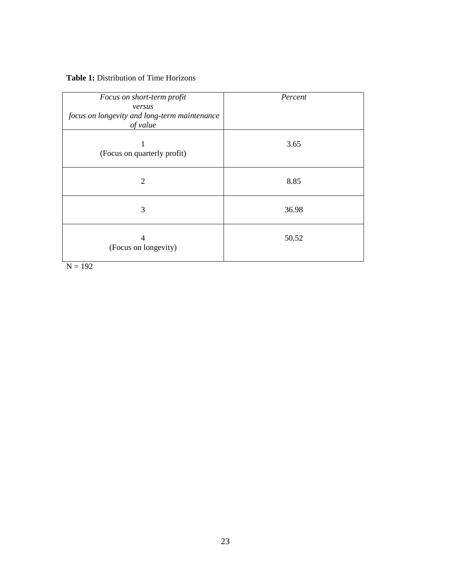## **Table 1:** Distribution of Time Horizons

| Focus on short-term profit                             | Percent |
|--------------------------------------------------------|---------|
| versus<br>focus on longevity and long-term maintenance |         |
| of value                                               |         |
| (Focus on quarterly profit)                            | 3.65    |
| 2                                                      | 8.85    |
| 3                                                      | 36.98   |
| 4<br>(Focus on longevity)<br>$\mathbf{v}$<br>$\sim$    | 50.52   |

 $N = 192$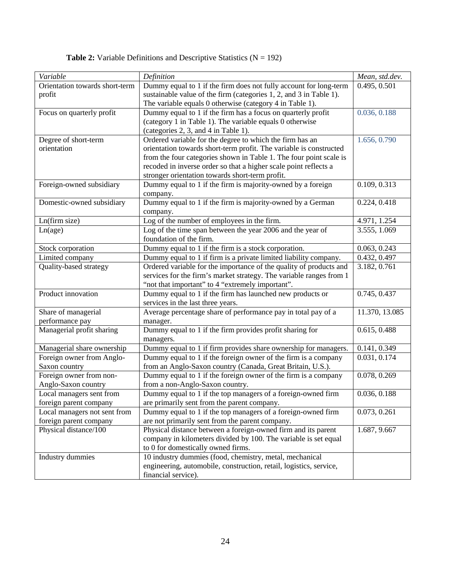| Variable                                               | Definition                                                                                                                                                                                                                                                                                                                  | Mean, std.dev. |
|--------------------------------------------------------|-----------------------------------------------------------------------------------------------------------------------------------------------------------------------------------------------------------------------------------------------------------------------------------------------------------------------------|----------------|
| Orientation towards short-term<br>profit               | Dummy equal to 1 if the firm does not fully account for long-term<br>sustainable value of the firm (categories 1, 2, and 3 in Table 1).<br>The variable equals 0 otherwise (category 4 in Table 1).                                                                                                                         | 0.495, 0.501   |
| Focus on quarterly profit                              | Dummy equal to 1 if the firm has a focus on quarterly profit<br>(category 1 in Table 1). The variable equals 0 otherwise<br>(categories 2, 3, and 4 in Table 1).                                                                                                                                                            | 0.036, 0.188   |
| Degree of short-term<br>orientation                    | Ordered variable for the degree to which the firm has an<br>orientation towards short-term profit. The variable is constructed<br>from the four categories shown in Table 1. The four point scale is<br>recoded in inverse order so that a higher scale point reflects a<br>stronger orientation towards short-term profit. | 1.656, 0.790   |
| Foreign-owned subsidiary                               | Dummy equal to 1 if the firm is majority-owned by a foreign<br>company.                                                                                                                                                                                                                                                     | 0.109, 0.313   |
| Domestic-owned subsidiary                              | Dummy equal to 1 if the firm is majority-owned by a German<br>company.                                                                                                                                                                                                                                                      | 0.224, 0.418   |
| Ln(firm size)                                          | Log of the number of employees in the firm.                                                                                                                                                                                                                                                                                 | 4.971, 1.254   |
| Ln(age)                                                | Log of the time span between the year 2006 and the year of<br>foundation of the firm.                                                                                                                                                                                                                                       | 3.555, 1.069   |
| Stock corporation                                      | Dummy equal to 1 if the firm is a stock corporation.                                                                                                                                                                                                                                                                        | 0.063, 0.243   |
| Limited company                                        | Dummy equal to 1 if firm is a private limited liability company.                                                                                                                                                                                                                                                            | 0.432, 0.497   |
| Quality-based strategy                                 | Ordered variable for the importance of the quality of products and<br>services for the firm's market strategy. The variable ranges from 1<br>"not that important" to 4 "extremely important".                                                                                                                               | 3.182, 0.761   |
| Product innovation                                     | Dummy equal to 1 if the firm has launched new products or<br>services in the last three years.                                                                                                                                                                                                                              | 0.745, 0.437   |
| Share of managerial<br>performance pay                 | Average percentage share of performance pay in total pay of a<br>manager.                                                                                                                                                                                                                                                   | 11.370, 13.085 |
| Managerial profit sharing                              | Dummy equal to 1 if the firm provides profit sharing for<br>managers.                                                                                                                                                                                                                                                       | 0.615, 0.488   |
| Managerial share ownership                             | Dummy equal to 1 if firm provides share ownership for managers.                                                                                                                                                                                                                                                             | 0.141, 0.349   |
| Foreign owner from Anglo-<br>Saxon country             | Dummy equal to 1 if the foreign owner of the firm is a company<br>from an Anglo-Saxon country (Canada, Great Britain, U.S.).                                                                                                                                                                                                | 0.031, 0.174   |
| Foreign owner from non-<br>Anglo-Saxon country         | Dummy equal to 1 if the foreign owner of the firm is a company<br>from a non-Anglo-Saxon country.                                                                                                                                                                                                                           | 0.078, 0.269   |
| Local managers sent from<br>foreign parent company     | Dummy equal to 1 if the top managers of a foreign-owned firm<br>are primarily sent from the parent company.                                                                                                                                                                                                                 | 0.036, 0.188   |
| Local managers not sent from<br>foreign parent company | Dummy equal to 1 if the top managers of a foreign-owned firm<br>are not primarily sent from the parent company.                                                                                                                                                                                                             | 0.073, 0.261   |
| Physical distance/100                                  | Physical distance between a foreign-owned firm and its parent<br>company in kilometers divided by 100. The variable is set equal<br>to 0 for domestically owned firms.                                                                                                                                                      | 1.687, 9.667   |
| Industry dummies                                       | 10 industry dummies (food, chemistry, metal, mechanical<br>engineering, automobile, construction, retail, logistics, service,<br>financial service).                                                                                                                                                                        |                |

**Table 2:** Variable Definitions and Descriptive Statistics (N = 192)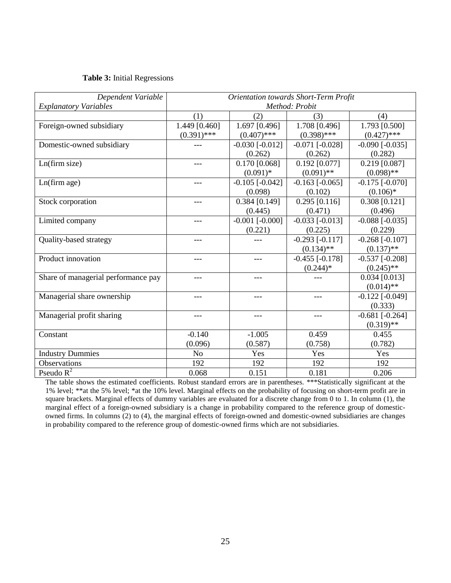## **Table 3:** Initial Regressions

| Dependent Variable                  | <b>Orientation towards Short-Term Profit</b> |                       |                       |                       |
|-------------------------------------|----------------------------------------------|-----------------------|-----------------------|-----------------------|
| <b>Explanatory Variables</b>        | Method: Probit                               |                       |                       |                       |
|                                     | (1)                                          | (2)                   | (3)                   | (4)                   |
| Foreign-owned subsidiary            | 1.449 [0.460]                                | 1.697 [0.496]         | 1.708 [0.496]         | 1.793 [0.500]         |
|                                     | $(0.391)$ ***                                | $(0.407)$ ***         | $(0.398)$ ***         | $(0.427)$ ***         |
| Domestic-owned subsidiary           |                                              | $-0.030$ [ $-0.012$ ] | $-0.071$ [ $-0.028$ ] | $-0.090$ $[-0.035]$   |
|                                     |                                              | (0.262)               | (0.262)               | (0.282)               |
| Ln(firm size)                       |                                              | $0.170$ [0.068]       | $0.192$ [0.077]       | $0.219$ [0.087]       |
|                                     |                                              | $(0.091)$ *           | $(0.091)$ **          | $(0.098)$ **          |
| Ln(firm age)                        | $---$                                        | $-0.105$ [ $-0.042$ ] | $-0.163$ $[-0.065]$   | $-0.175$ [ $-0.070$ ] |
|                                     |                                              | (0.098)               | (0.102)               | $(0.106)$ *           |
| Stock corporation                   |                                              | $0.384$ [0.149]       | $0.295$ [0.116]       | $0.308$ [0.121]       |
|                                     |                                              | (0.445)               | (0.471)               | (0.496)               |
| Limited company                     | ---                                          | $-0.001$ [ $-0.000$ ] | $-0.033$ [ $-0.013$ ] | $-0.088$ [ $-0.035$ ] |
|                                     |                                              | (0.221)               | (0.225)               | (0.229)               |
| Quality-based strategy              |                                              |                       | $-0.293$ [ $-0.117$ ] | $-0.268$ [ $-0.107$ ] |
|                                     |                                              |                       | $(0.134)$ **          | $(0.137)$ **          |
| Product innovation                  | ---                                          | ---                   | $-0.455$ [ $-0.178$ ] | $-0.537$ $[-0.208]$   |
|                                     |                                              |                       | $(0.244)$ *           | $(0.245)$ **          |
| Share of managerial performance pay |                                              |                       |                       | $0.034$ [0.013]       |
|                                     |                                              |                       |                       | $(0.014)$ **          |
| Managerial share ownership          |                                              | ---                   | ---                   | $-0.122$ $[-0.049]$   |
|                                     |                                              |                       |                       | (0.333)               |
| Managerial profit sharing           |                                              |                       |                       | $-0.681$ [ $-0.264$ ] |
|                                     |                                              |                       |                       | $(0.319)$ **          |
| Constant                            | $-0.140$                                     | $-1.005$              | 0.459                 | 0.455                 |
|                                     | (0.096)                                      | (0.587)               | (0.758)               | (0.782)               |
| <b>Industry Dummies</b>             | N <sub>o</sub>                               | Yes                   | Yes                   | Yes                   |
| Observations                        | 192                                          | 192                   | 192                   | 192                   |
| Pseudo $R^2$                        | 0.068                                        | 0.151                 | 0.181                 | 0.206                 |

The table shows the estimated coefficients. Robust standard errors are in parentheses. \*\*\*Statistically significant at the 1% level; \*\*at the 5% level; \*at the 10% level. Marginal effects on the probability of focusing on short-term profit are in square brackets. Marginal effects of dummy variables are evaluated for a discrete change from 0 to 1. In column (1), the marginal effect of a foreign-owned subsidiary is a change in probability compared to the reference group of domesticowned firms. In columns (2) to (4), the marginal effects of foreign-owned and domestic-owned subsidiaries are changes in probability compared to the reference group of domestic-owned firms which are not subsidiaries.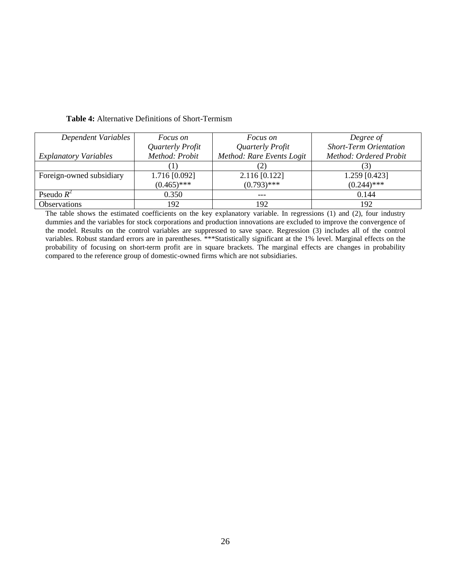| Dependent Variables          | <i>Focus on</i>  | <i>Focus on</i>           | Degree of                     |
|------------------------------|------------------|---------------------------|-------------------------------|
|                              | Quarterly Profit | Quarterly Profit          | <b>Short-Term Orientation</b> |
| <b>Explanatory Variables</b> | Method: Probit   | Method: Rare Events Logit | Method: Ordered Probit        |
|                              |                  |                           | $\mathfrak{Z}$                |
| Foreign-owned subsidiary     | 1.716 [0.092]    | $2.116$ [0.122]           | 1.259 [0.423]                 |
|                              | $(0.465)$ ***    | $(0.793)$ ***             | $(0.244)$ ***                 |
| Pseudo $R^2$                 | 0.350            | $---$                     | 0.144                         |
| <b>Observations</b>          | 192              | 192                       | 192                           |

**Table 4:** Alternative Definitions of Short-Termism

The table shows the estimated coefficients on the key explanatory variable. In regressions (1) and (2), four industry dummies and the variables for stock corporations and production innovations are excluded to improve the convergence of the model. Results on the control variables are suppressed to save space. Regression (3) includes all of the control variables. Robust standard errors are in parentheses. \*\*\*Statistically significant at the 1% level. Marginal effects on the probability of focusing on short-term profit are in square brackets. The marginal effects are changes in probability compared to the reference group of domestic-owned firms which are not subsidiaries.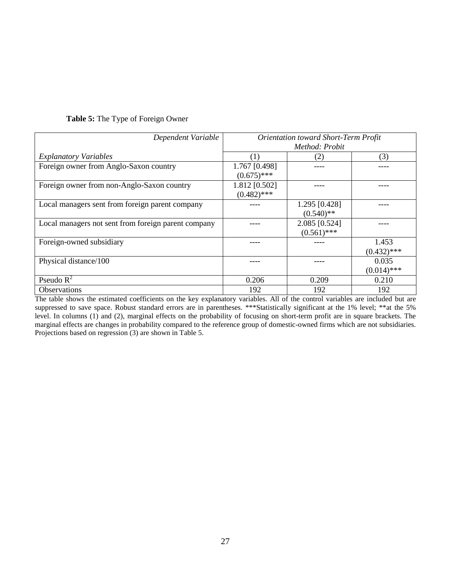|  | Table 5: The Type of Foreign Owner |  |  |  |  |  |
|--|------------------------------------|--|--|--|--|--|
|--|------------------------------------|--|--|--|--|--|

| Dependent Variable                                  | <b>Orientation toward Short-Term Profit</b><br>Method: Probit |                                |                        |
|-----------------------------------------------------|---------------------------------------------------------------|--------------------------------|------------------------|
| <b>Explanatory Variables</b>                        | (1)                                                           | (2)                            | (3)                    |
| Foreign owner from Anglo-Saxon country              | 1.767 [0.498]<br>$(0.675)$ ***                                |                                |                        |
| Foreign owner from non-Anglo-Saxon country          | 1.812 [0.502]<br>$(0.482)$ ***                                |                                |                        |
| Local managers sent from foreign parent company     |                                                               | 1.295 [0.428]<br>$(0.540)$ **  |                        |
| Local managers not sent from foreign parent company |                                                               | 2.085 [0.524]<br>$(0.561)$ *** |                        |
| Foreign-owned subsidiary                            |                                                               |                                | 1.453<br>$(0.432)$ *** |
| Physical distance/100                               |                                                               |                                | 0.035<br>$(0.014)$ *** |
| Pseudo $R^2$                                        | 0.206                                                         | 0.209                          | 0.210                  |
| Observations                                        | 192                                                           | 192                            | 192                    |

The table shows the estimated coefficients on the key explanatory variables. All of the control variables are included but are suppressed to save space. Robust standard errors are in parentheses. \*\*\*Statistically significant at the 1% level; \*\*at the 5% level. In columns (1) and (2), marginal effects on the probability of focusing on short-term profit are in square brackets. The marginal effects are changes in probability compared to the reference group of domestic-owned firms which are not subsidiaries. Projections based on regression (3) are shown in Table 5.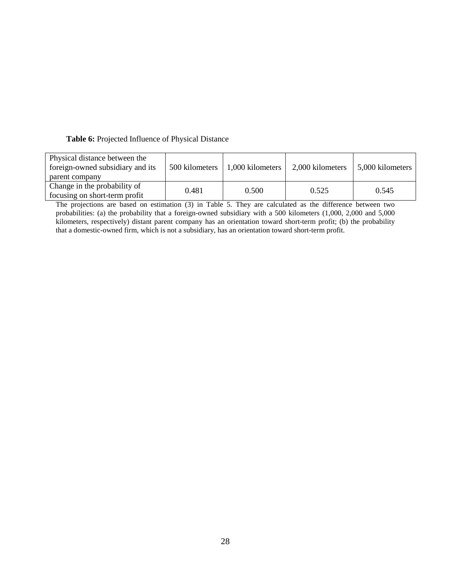## **Table 6:** Projected Influence of Physical Distance

| Physical distance between the<br>foreign-owned subsidiary and its<br>parent company | 500 kilometers | 1,000 kilometers | 2,000 kilometers | 5,000 kilometers |
|-------------------------------------------------------------------------------------|----------------|------------------|------------------|------------------|
| Change in the probability of<br>focusing on short-term profit                       | 0.481          | 0.500            | 0.525            | 0.545            |

The projections are based on estimation (3) in Table 5. They are calculated as the difference between two probabilities: (a) the probability that a foreign-owned subsidiary with a 500 kilometers (1,000, 2,000 and 5,000 kilometers, respectively) distant parent company has an orientation toward short-term profit; (b) the probability that a domestic-owned firm, which is not a subsidiary, has an orientation toward short-term profit.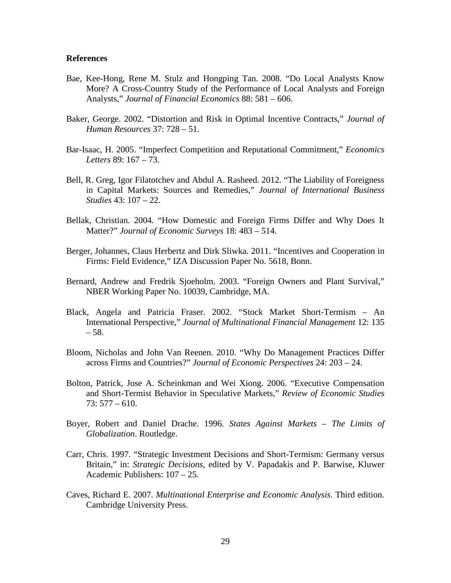## **References**

- Bae, Kee-Hong, Rene M. Stulz and Hongping Tan. 2008. "Do Local Analysts Know More? A Cross-Country Study of the Performance of Local Analysts and Foreign Analysts," *Journal of Financial Economics* 88: 581 – 606.
- Baker, George. 2002. "Distortion and Risk in Optimal Incentive Contracts," *Journal of Human Resources* 37: 728 – 51.
- Bar-Isaac, H. 2005. "Imperfect Competition and Reputational Commitment," *Economics Letters* 89: 167 – 73.
- Bell, R. Greg, Igor Filatotchev and Abdul A. Rasheed. 2012. "The Liability of Foreigness in Capital Markets: Sources and Remedies," *Journal of International Business Studies* 43: 107 – 22.
- Bellak, Christian. 2004. "How Domestic and Foreign Firms Differ and Why Does It Matter?" *Journal of Economic Surveys* 18: 483 – 514.
- Berger, Johannes, Claus Herbertz and Dirk Sliwka. 2011. "Incentives and Cooperation in Firms: Field Evidence," IZA Discussion Paper No. 5618, Bonn.
- Bernard, Andrew and Fredrik Sjoeholm. 2003. "Foreign Owners and Plant Survival," NBER Working Paper No. 10039, Cambridge, MA.
- Black, Angela and Patricia Fraser. 2002. "Stock Market Short-Termism An International Perspective," *Journal of Multinational Financial Management* 12: 135  $-58.$
- Bloom, Nicholas and John Van Reenen. 2010. "Why Do Management Practices Differ across Firms and Countries?" *Journal of Economic Perspectives* 24: 203 – 24.
- Bolton, Patrick, Jose A. Scheinkman and Wei Xiong. 2006. "Executive Compensation and Short-Termist Behavior in Speculative Markets," *Review of Economic Studies*  73: 577 – 610.
- Boyer, Robert and Daniel Drache. 1996. *States Against Markets – The Limits of Globalization*. Routledge.
- Carr, Chris. 1997. "Strategic Investment Decisions and Short-Termism: Germany versus Britain," in: *Strategic Decisions*, edited by V. Papadakis and P. Barwise, Kluwer Academic Publishers: 107 – 25.
- Caves, Richard E. 2007. *Multinational Enterprise and Economic Analysis*. Third edition. Cambridge University Press.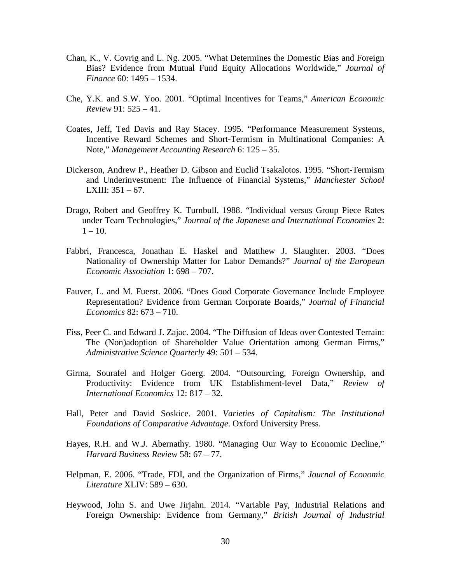- Chan, K., V. Covrig and L. Ng. 2005. "What Determines the Domestic Bias and Foreign Bias? Evidence from Mutual Fund Equity Allocations Worldwide," *Journal of Finance* 60: 1495 – 1534.
- Che, Y.K. and S.W. Yoo. 2001. "Optimal Incentives for Teams," *American Economic Review* 91: 525 – 41.
- Coates, Jeff, Ted Davis and Ray Stacey. 1995. "Performance Measurement Systems, Incentive Reward Schemes and Short-Termism in Multinational Companies: A Note," *Management Accounting Research* 6: 125 – 35.
- Dickerson, Andrew P., Heather D. Gibson and Euclid Tsakalotos. 1995. "Short-Termism and Underinvestment: The Influence of Financial Systems," *Manchester School*  LXIII:  $351 - 67$ .
- Drago, Robert and Geoffrey K. Turnbull. 1988. "Individual versus Group Piece Rates under Team Technologies," *Journal of the Japanese and International Economies* 2:  $1 - 10$ .
- Fabbri, Francesca, Jonathan E. Haskel and Matthew J. Slaughter. 2003. "Does Nationality of Ownership Matter for Labor Demands?" *Journal of the European Economic Association* 1: 698 – 707.
- Fauver, L. and M. Fuerst. 2006. "Does Good Corporate Governance Include Employee Representation? Evidence from German Corporate Boards," *Journal of Financial Economics* 82: 673 – 710.
- Fiss, Peer C. and Edward J. Zajac. 2004. "The Diffusion of Ideas over Contested Terrain: The (Non)adoption of Shareholder Value Orientation among German Firms," *Administrative Science Quarterly* 49: 501 – 534.
- Girma, Sourafel and Holger Goerg. 2004. "Outsourcing, Foreign Ownership, and Productivity: Evidence from UK Establishment-level Data," *Review of International Economics* 12: 817 – 32.
- Hall, Peter and David Soskice. 2001. *Varieties of Capitalism: The Institutional Foundations of Comparative Advantage*. Oxford University Press.
- Hayes, R.H. and W.J. Abernathy. 1980. "Managing Our Way to Economic Decline," *Harvard Business Review* 58: 67 – 77.
- Helpman, E. 2006. "Trade, FDI, and the Organization of Firms," *Journal of Economic Literature* XLIV: 589 – 630.
- Heywood, John S. and Uwe Jirjahn. 2014. "Variable Pay, Industrial Relations and Foreign Ownership: Evidence from Germany," *British Journal of Industrial*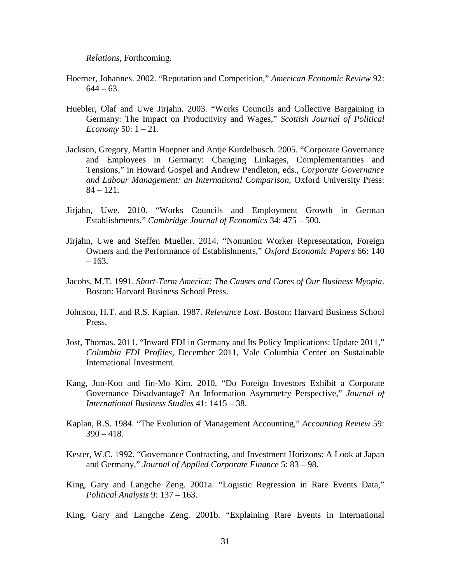*Relations*, Forthcoming.

- Hoerner, Johannes. 2002. "Reputation and Competition," *American Economic Review* 92:  $644 - 63$ .
- Huebler, Olaf and Uwe Jirjahn. 2003. "Works Councils and Collective Bargaining in Germany: The Impact on Productivity and Wages," *Scottish Journal of Political Economy* 50: 1 – 21.
- Jackson, Gregory, Martin Hoepner and Antje Kurdelbusch. 2005. "Corporate Governance and Employees in Germany: Changing Linkages, Complementarities and Tensions," in Howard Gospel and Andrew Pendleton, eds., *Corporate Governance and Labour Management: an International Comparison*, Oxford University Press:  $84 - 121$ .
- Jirjahn, Uwe. 2010. "Works Councils and Employment Growth in German Establishments," *Cambridge Journal of Economics* 34: 475 – 500.
- Jirjahn, Uwe and Steffen Mueller. 2014. "Nonunion Worker Representation, Foreign Owners and the Performance of Establishments," *Oxford Economic Papers* 66: 140 – 163.
- Jacobs, M.T. 1991. *Short-Term America: The Causes and Cares of Our Business Myopia*. Boston: Harvard Business School Press.
- Johnson, H.T. and R.S. Kaplan. 1987. *Relevance Lost*. Boston: Harvard Business School Press.
- Jost, Thomas. 2011. "Inward FDI in Germany and Its Policy Implications: Update 2011," *Columbia FDI Profiles*, December 2011, Vale Columbia Center on Sustainable International Investment.
- Kang, Jun-Koo and Jin-Mo Kim. 2010. "Do Foreign Investors Exhibit a Corporate Governance Disadvantage? An Information Asymmetry Perspective," *Journal of International Business Studies* 41: 1415 – 38.
- Kaplan, R.S. 1984. "The Evolution of Management Accounting," *Accounting Review* 59:  $390 - 418.$
- Kester, W.C. 1992. "Governance Contracting, and Investment Horizons: A Look at Japan and Germany," *Journal of Applied Corporate Finance* 5: 83 – 98.
- King, Gary and Langche Zeng. 2001a. "Logistic Regression in Rare Events Data," *Political Analysis* 9: 137 – 163.
- King, Gary and Langche Zeng. 2001b. "Explaining Rare Events in International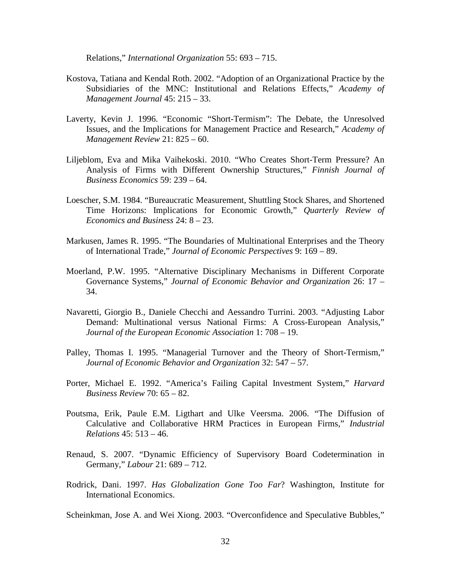Relations," *International Organization* 55: 693 – 715.

- Kostova, Tatiana and Kendal Roth. 2002. "Adoption of an Organizational Practice by the Subsidiaries of the MNC: Institutional and Relations Effects," *Academy of Management Journal* 45: 215 – 33.
- Laverty, Kevin J. 1996. "Economic "Short-Termism": The Debate, the Unresolved Issues, and the Implications for Management Practice and Research," *Academy of Management Review* 21: 825 – 60.
- Liljeblom, Eva and Mika Vaihekoski. 2010. "Who Creates Short-Term Pressure? An Analysis of Firms with Different Ownership Structures," *Finnish Journal of Business Economics* 59: 239 – 64.
- Loescher, S.M. 1984. "Bureaucratic Measurement, Shuttling Stock Shares, and Shortened Time Horizons: Implications for Economic Growth," *Quarterly Review of Economics and Business* 24: 8 – 23.
- Markusen, James R. 1995. "The Boundaries of Multinational Enterprises and the Theory of International Trade," *Journal of Economic Perspectives* 9: 169 – 89.
- Moerland, P.W. 1995. "Alternative Disciplinary Mechanisms in Different Corporate Governance Systems," *Journal of Economic Behavior and Organization* 26: 17 – 34.
- Navaretti, Giorgio B., Daniele Checchi and Aessandro Turrini. 2003. "Adjusting Labor Demand: Multinational versus National Firms: A Cross-European Analysis," *Journal of the European Economic Association* 1: 708 – 19.
- Palley, Thomas I. 1995. "Managerial Turnover and the Theory of Short-Termism," *Journal of Economic Behavior and Organization* 32: 547 – 57.
- Porter, Michael E. 1992. "America's Failing Capital Investment System," *Harvard Business Review* 70: 65 – 82.
- Poutsma, Erik, Paule E.M. Ligthart and Ulke Veersma. 2006. "The Diffusion of Calculative and Collaborative HRM Practices in European Firms," *Industrial Relations* 45: 513 – 46.
- Renaud, S. 2007. "Dynamic Efficiency of Supervisory Board Codetermination in Germany," *Labour* 21: 689 – 712.
- Rodrick, Dani. 1997. *Has Globalization Gone Too Far*? Washington, Institute for International Economics.

Scheinkman, Jose A. and Wei Xiong. 2003. "Overconfidence and Speculative Bubbles,"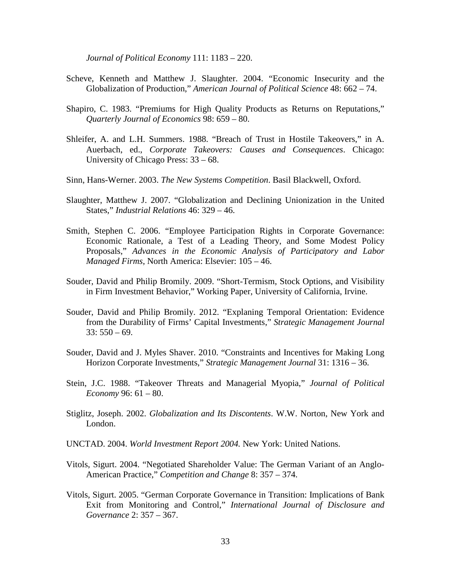*Journal of Political Economy* 111: 1183 – 220.

- Scheve, Kenneth and Matthew J. Slaughter. 2004. "Economic Insecurity and the Globalization of Production," *American Journal of Political Science* 48: 662 – 74.
- Shapiro, C. 1983. "Premiums for High Quality Products as Returns on Reputations," *Quarterly Journal of Economics* 98: 659 – 80.
- Shleifer, A. and L.H. Summers. 1988. "Breach of Trust in Hostile Takeovers," in A. Auerbach, ed., *Corporate Takeovers: Causes and Consequences*. Chicago: University of Chicago Press: 33 – 68.
- Sinn, Hans-Werner. 2003. *The New Systems Competition*. Basil Blackwell, Oxford.
- Slaughter, Matthew J. 2007. "Globalization and Declining Unionization in the United States," *Industrial Relations* 46: 329 – 46.
- Smith, Stephen C. 2006. "Employee Participation Rights in Corporate Governance: Economic Rationale, a Test of a Leading Theory, and Some Modest Policy Proposals," *Advances in the Economic Analysis of Participatory and Labor Managed Firms*, North America: Elsevier: 105 – 46.
- Souder, David and Philip Bromily. 2009. "Short-Termism, Stock Options, and Visibility in Firm Investment Behavior," Working Paper, University of California, Irvine.
- Souder, David and Philip Bromily. 2012. "Explaning Temporal Orientation: Evidence from the Durability of Firms' Capital Investments," *Strategic Management Journal*   $33: 550 - 69.$
- Souder, David and J. Myles Shaver. 2010. "Constraints and Incentives for Making Long Horizon Corporate Investments," *Strategic Management Journal* 31: 1316 – 36.
- Stein, J.C. 1988. "Takeover Threats and Managerial Myopia," *Journal of Political Economy* 96: 61 – 80.
- Stiglitz, Joseph. 2002. *Globalization and Its Discontents*. W.W. Norton, New York and London.
- UNCTAD. 2004. *World Investment Report 2004.* New York: United Nations.
- Vitols, Sigurt. 2004. "Negotiated Shareholder Value: The German Variant of an Anglo-American Practice," *Competition and Change* 8: 357 – 374.
- Vitols, Sigurt. 2005. "German Corporate Governance in Transition: Implications of Bank Exit from Monitoring and Control," *International Journal of Disclosure and Governance* 2: 357 – 367.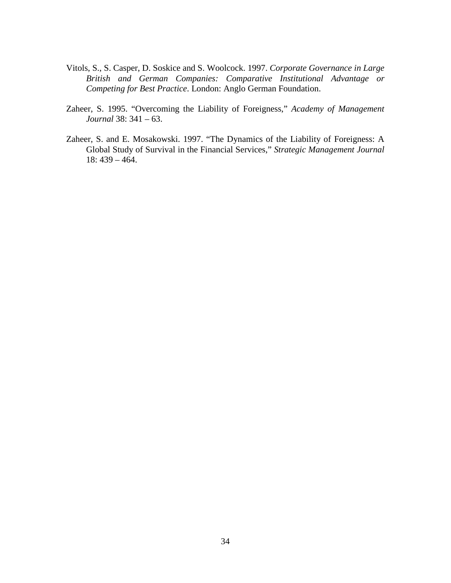- Vitols, S., S. Casper, D. Soskice and S. Woolcock. 1997. *Corporate Governance in Large British and German Companies: Comparative Institutional Advantage or Competing for Best Practice*. London: Anglo German Foundation.
- Zaheer, S. 1995. "Overcoming the Liability of Foreigness," *Academy of Management Journal* 38: 341 – 63.
- Zaheer, S. and E. Mosakowski. 1997. "The Dynamics of the Liability of Foreigness: A Global Study of Survival in the Financial Services," *Strategic Management Journal*  18: 439 – 464.